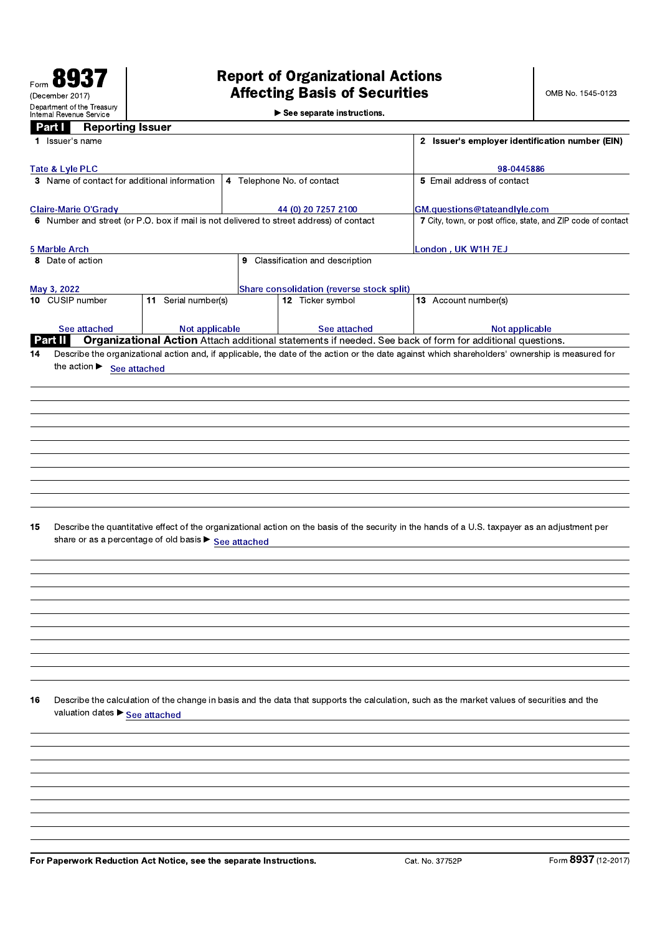$\blacktriangleright$  See separate instructions.

| Part I                                                                                                                                                                                                                                                                                                                                                                                                                            | <b>Reporting Issuer</b>                                                                 |                                                              |                                           |                                                                                                          |  |  |  |  |  |  |
|-----------------------------------------------------------------------------------------------------------------------------------------------------------------------------------------------------------------------------------------------------------------------------------------------------------------------------------------------------------------------------------------------------------------------------------|-----------------------------------------------------------------------------------------|--------------------------------------------------------------|-------------------------------------------|----------------------------------------------------------------------------------------------------------|--|--|--|--|--|--|
| 1 Issuer's name                                                                                                                                                                                                                                                                                                                                                                                                                   |                                                                                         |                                                              |                                           | 2 Issuer's employer identification number (EIN)                                                          |  |  |  |  |  |  |
| Tate & Lyle PLC                                                                                                                                                                                                                                                                                                                                                                                                                   |                                                                                         |                                                              |                                           | 98-0445886                                                                                               |  |  |  |  |  |  |
| 3 Name of contact for additional information                                                                                                                                                                                                                                                                                                                                                                                      |                                                                                         | 5 Email address of contact                                   |                                           |                                                                                                          |  |  |  |  |  |  |
| <b>Claire-Marie O'Grady</b>                                                                                                                                                                                                                                                                                                                                                                                                       |                                                                                         | GM.questions@tateandlyle.com                                 |                                           |                                                                                                          |  |  |  |  |  |  |
|                                                                                                                                                                                                                                                                                                                                                                                                                                   | 6 Number and street (or P.O. box if mail is not delivered to street address) of contact | 7 City, town, or post office, state, and ZIP code of contact |                                           |                                                                                                          |  |  |  |  |  |  |
| 5 Marble Arch                                                                                                                                                                                                                                                                                                                                                                                                                     |                                                                                         |                                                              |                                           | London, UK W1H 7EJ                                                                                       |  |  |  |  |  |  |
| 8 Date of action                                                                                                                                                                                                                                                                                                                                                                                                                  |                                                                                         |                                                              | 9 Classification and description          |                                                                                                          |  |  |  |  |  |  |
| May 3, 2022                                                                                                                                                                                                                                                                                                                                                                                                                       |                                                                                         |                                                              | Share consolidation (reverse stock split) |                                                                                                          |  |  |  |  |  |  |
| 10 CUSIP number<br>11 Serial number(s)                                                                                                                                                                                                                                                                                                                                                                                            |                                                                                         |                                                              | 12 Ticker symbol                          | 13 Account number(s)                                                                                     |  |  |  |  |  |  |
| See attached                                                                                                                                                                                                                                                                                                                                                                                                                      | Not applicable                                                                          |                                                              | See attached                              | Not applicable                                                                                           |  |  |  |  |  |  |
| Part II                                                                                                                                                                                                                                                                                                                                                                                                                           |                                                                                         |                                                              |                                           | Organizational Action Attach additional statements if needed. See back of form for additional questions. |  |  |  |  |  |  |
| the action ▶ See attached<br>Describe the quantitative effect of the organizational action on the basis of the security in the hands of a U.S. taxpayer as an adjustment per<br>15<br>share or as a percentage of old basis ▶ See attached<br>Describe the calculation of the change in basis and the data that supports the calculation, such as the market values of securities and the<br>16<br>valuation dates ▶ See attached |                                                                                         |                                                              |                                           |                                                                                                          |  |  |  |  |  |  |
|                                                                                                                                                                                                                                                                                                                                                                                                                                   |                                                                                         |                                                              |                                           |                                                                                                          |  |  |  |  |  |  |
|                                                                                                                                                                                                                                                                                                                                                                                                                                   |                                                                                         |                                                              |                                           |                                                                                                          |  |  |  |  |  |  |
|                                                                                                                                                                                                                                                                                                                                                                                                                                   |                                                                                         |                                                              |                                           |                                                                                                          |  |  |  |  |  |  |

For Paperwork Reduction Act Notice, see the separate Instructions.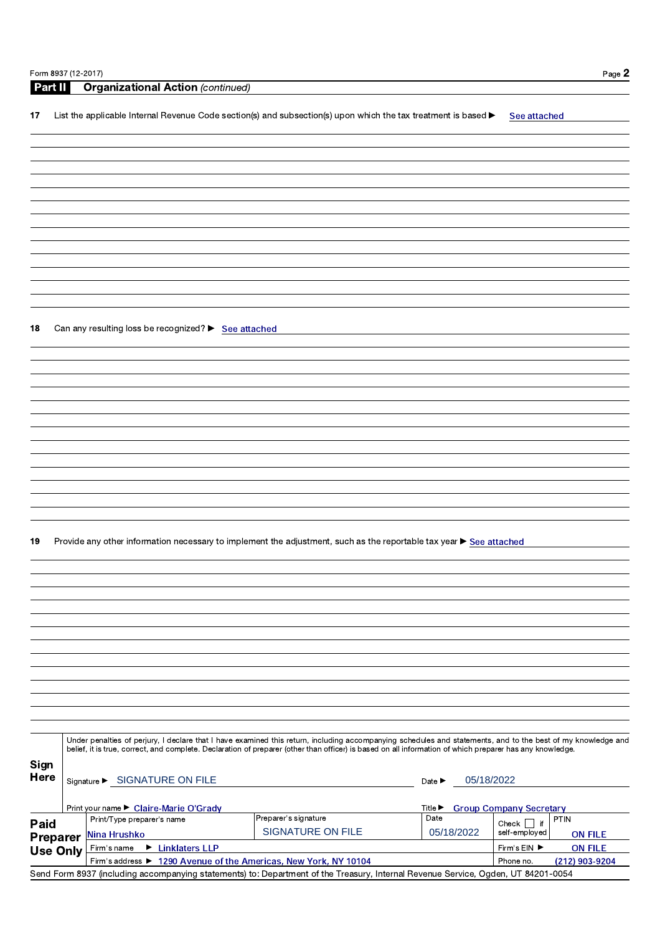| <b>Part II</b>                                             |  |  | <b>Organizational Action (continued)</b>                         |                                                                                                                                                                                                                                                                                                                          |                                          |                                |                |
|------------------------------------------------------------|--|--|------------------------------------------------------------------|--------------------------------------------------------------------------------------------------------------------------------------------------------------------------------------------------------------------------------------------------------------------------------------------------------------------------|------------------------------------------|--------------------------------|----------------|
| 17                                                         |  |  |                                                                  | List the applicable Internal Revenue Code section(s) and subsection(s) upon which the tax treatment is based ▶                                                                                                                                                                                                           |                                          | See attached                   |                |
|                                                            |  |  |                                                                  |                                                                                                                                                                                                                                                                                                                          |                                          |                                |                |
|                                                            |  |  |                                                                  |                                                                                                                                                                                                                                                                                                                          |                                          |                                |                |
|                                                            |  |  |                                                                  |                                                                                                                                                                                                                                                                                                                          |                                          |                                |                |
|                                                            |  |  |                                                                  |                                                                                                                                                                                                                                                                                                                          |                                          |                                |                |
|                                                            |  |  |                                                                  |                                                                                                                                                                                                                                                                                                                          |                                          |                                |                |
|                                                            |  |  |                                                                  |                                                                                                                                                                                                                                                                                                                          |                                          |                                |                |
|                                                            |  |  |                                                                  |                                                                                                                                                                                                                                                                                                                          |                                          |                                |                |
|                                                            |  |  |                                                                  |                                                                                                                                                                                                                                                                                                                          |                                          |                                |                |
|                                                            |  |  |                                                                  |                                                                                                                                                                                                                                                                                                                          |                                          |                                |                |
|                                                            |  |  |                                                                  |                                                                                                                                                                                                                                                                                                                          |                                          |                                |                |
|                                                            |  |  |                                                                  |                                                                                                                                                                                                                                                                                                                          |                                          |                                |                |
|                                                            |  |  |                                                                  |                                                                                                                                                                                                                                                                                                                          |                                          |                                |                |
|                                                            |  |  |                                                                  |                                                                                                                                                                                                                                                                                                                          |                                          |                                |                |
| Can any resulting loss be recognized? ▶ See attached<br>18 |  |  |                                                                  |                                                                                                                                                                                                                                                                                                                          |                                          |                                |                |
|                                                            |  |  |                                                                  |                                                                                                                                                                                                                                                                                                                          |                                          |                                |                |
|                                                            |  |  |                                                                  |                                                                                                                                                                                                                                                                                                                          |                                          |                                |                |
|                                                            |  |  |                                                                  |                                                                                                                                                                                                                                                                                                                          |                                          |                                |                |
|                                                            |  |  |                                                                  |                                                                                                                                                                                                                                                                                                                          |                                          |                                |                |
|                                                            |  |  |                                                                  |                                                                                                                                                                                                                                                                                                                          |                                          |                                |                |
|                                                            |  |  |                                                                  |                                                                                                                                                                                                                                                                                                                          |                                          |                                |                |
|                                                            |  |  |                                                                  |                                                                                                                                                                                                                                                                                                                          |                                          |                                |                |
|                                                            |  |  |                                                                  |                                                                                                                                                                                                                                                                                                                          |                                          |                                |                |
|                                                            |  |  |                                                                  |                                                                                                                                                                                                                                                                                                                          |                                          |                                |                |
|                                                            |  |  |                                                                  |                                                                                                                                                                                                                                                                                                                          |                                          |                                |                |
|                                                            |  |  |                                                                  |                                                                                                                                                                                                                                                                                                                          |                                          |                                |                |
|                                                            |  |  |                                                                  |                                                                                                                                                                                                                                                                                                                          |                                          |                                |                |
|                                                            |  |  |                                                                  |                                                                                                                                                                                                                                                                                                                          |                                          |                                |                |
| 19                                                         |  |  |                                                                  | Provide any other information necessary to implement the adjustment, such as the reportable tax year ▶ See attached                                                                                                                                                                                                      |                                          |                                |                |
|                                                            |  |  |                                                                  |                                                                                                                                                                                                                                                                                                                          |                                          |                                |                |
|                                                            |  |  |                                                                  |                                                                                                                                                                                                                                                                                                                          |                                          |                                |                |
|                                                            |  |  |                                                                  |                                                                                                                                                                                                                                                                                                                          |                                          |                                |                |
|                                                            |  |  |                                                                  |                                                                                                                                                                                                                                                                                                                          |                                          |                                |                |
|                                                            |  |  |                                                                  |                                                                                                                                                                                                                                                                                                                          |                                          |                                |                |
|                                                            |  |  |                                                                  |                                                                                                                                                                                                                                                                                                                          |                                          |                                |                |
|                                                            |  |  |                                                                  |                                                                                                                                                                                                                                                                                                                          |                                          |                                |                |
|                                                            |  |  |                                                                  |                                                                                                                                                                                                                                                                                                                          |                                          |                                |                |
|                                                            |  |  |                                                                  |                                                                                                                                                                                                                                                                                                                          |                                          |                                |                |
|                                                            |  |  |                                                                  |                                                                                                                                                                                                                                                                                                                          |                                          |                                |                |
|                                                            |  |  |                                                                  |                                                                                                                                                                                                                                                                                                                          |                                          |                                |                |
|                                                            |  |  |                                                                  |                                                                                                                                                                                                                                                                                                                          |                                          |                                |                |
|                                                            |  |  |                                                                  |                                                                                                                                                                                                                                                                                                                          |                                          |                                |                |
|                                                            |  |  |                                                                  | Under penalties of perjury, I declare that I have examined this return, including accompanying schedules and statements, and to the best of my knowledge and<br>belief, it is true, correct, and complete. Declaration of preparer (other than officer) is based on all information of which preparer has any knowledge. |                                          |                                |                |
| Sign                                                       |  |  |                                                                  |                                                                                                                                                                                                                                                                                                                          |                                          |                                |                |
| Here                                                       |  |  | Signature ▶ SIGNATURE ON FILE                                    |                                                                                                                                                                                                                                                                                                                          | 05/18/2022<br>Date $\blacktriangleright$ |                                |                |
|                                                            |  |  |                                                                  |                                                                                                                                                                                                                                                                                                                          |                                          |                                |                |
|                                                            |  |  | Print your name ▶ Claire-Marie O'Grady                           |                                                                                                                                                                                                                                                                                                                          | Title $\blacktriangleright$              | <b>Group Company Secretary</b> |                |
| Paid                                                       |  |  | Print/Type preparer's name                                       | Preparer's signature                                                                                                                                                                                                                                                                                                     | Date                                     | <b>PTIN</b><br>Check  <br>∣ if |                |
| Preparer                                                   |  |  | Nina Hrushko                                                     | <b>SIGNATURE ON FILE</b>                                                                                                                                                                                                                                                                                                 | 05/18/2022                               | self-employed                  | <b>ON FILE</b> |
| <b>Use Only</b>                                            |  |  | $\blacktriangleright$ Linklaters LLP<br>Firm's name              |                                                                                                                                                                                                                                                                                                                          |                                          | Firm's EIN ▶                   | <b>ON FILE</b> |
|                                                            |  |  | Firm's address ▶ 1290 Avenue of the Americas, New York, NY 10104 |                                                                                                                                                                                                                                                                                                                          |                                          | Phone no.                      | (212) 903-9204 |
|                                                            |  |  |                                                                  | Send Form 8937 (including accompanying statements) to: Department of the Treasury, Internal Revenue Service, Ogden, UT 84201-0054                                                                                                                                                                                        |                                          |                                |                |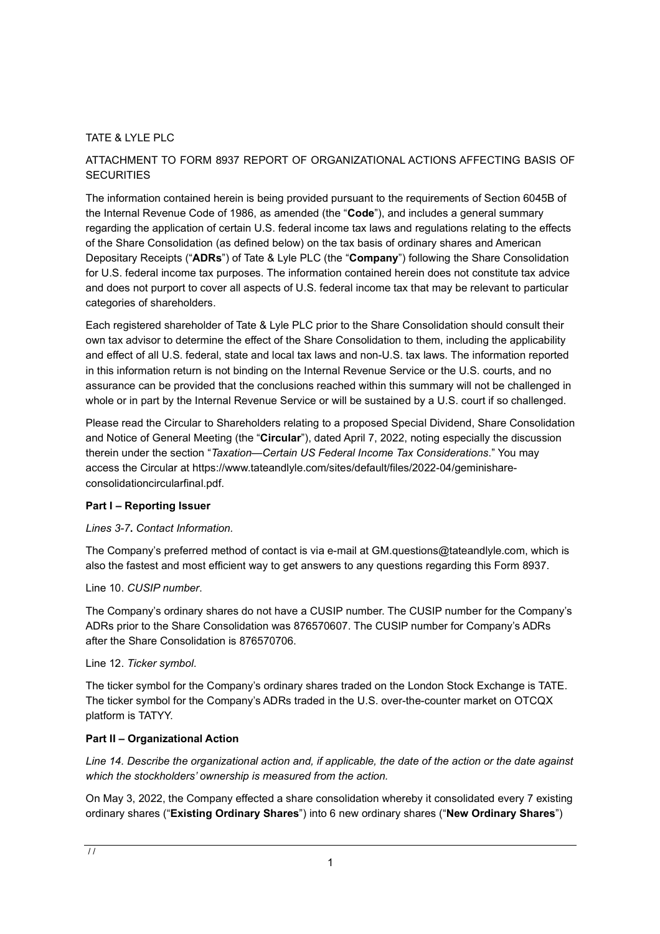## TATE & LYLE PLC

# ATTACHMENT TO FORM 8937 REPORT OF ORGANIZATIONAL ACTIONS AFFECTING BASIS OF **SECURITIES**

The information contained herein is being provided pursuant to the requirements of Section 6045B of the Internal Revenue Code of 1986, as amended (the "**Code**"), and includes a general summary regarding the application of certain U.S. federal income tax laws and regulations relating to the effects of the Share Consolidation (as defined below) on the tax basis of ordinary shares and American Depositary Receipts ("**ADRs**") of Tate & Lyle PLC (the "**Company**") following the Share Consolidation for U.S. federal income tax purposes. The information contained herein does not constitute tax advice and does not purport to cover all aspects of U.S. federal income tax that may be relevant to particular categories of shareholders.

Each registered shareholder of Tate & Lyle PLC prior to the Share Consolidation should consult their own tax advisor to determine the effect of the Share Consolidation to them, including the applicability and effect of all U.S. federal, state and local tax laws and non-U.S. tax laws. The information reported in this information return is not binding on the Internal Revenue Service or the U.S. courts, and no assurance can be provided that the conclusions reached within this summary will not be challenged in whole or in part by the Internal Revenue Service or will be sustained by a U.S. court if so challenged.

Please read the Circular to Shareholders relating to a proposed Special Dividend, Share Consolidation and Notice of General Meeting (the "**Circular**"), dated April 7, 2022, noting especially the discussion therein under the section "*Taxation—Certain US Federal Income Tax Considerations*." You may access the Circular at https://www.tateandlyle.com/sites/default/files/2022-04/geminishareconsolidationcircularfinal.pdf.

### **Part I – Reporting Issuer**

### *Lines 3-7***.** *Contact Information.*

The Company's preferred method of contact is via e-mail at GM.questions@tateandlyle.com, which is also the fastest and most efficient way to get answers to any questions regarding this Form 8937.

### Line 10. *CUSIP number*.

The Company's ordinary shares do not have a CUSIP number. The CUSIP number for the Company's ADRs prior to the Share Consolidation was 876570607. The CUSIP number for Company's ADRs after the Share Consolidation is 876570706.

### Line 12. *Ticker symbol*.

The ticker symbol for the Company's ordinary shares traded on the London Stock Exchange is TATE. The ticker symbol for the Company's ADRs traded in the U.S. over-the-counter market on OTCQX platform is TATYY.

### **Part II – Organizational Action**

*Line 14. Describe the organizational action and, if applicable, the date of the action or the date against which the stockholders' ownership is measured from the action.* 

On May 3, 2022, the Company effected a share consolidation whereby it consolidated every 7 existing ordinary shares ("**Existing Ordinary Shares**") into 6 new ordinary shares ("**New Ordinary Shares**")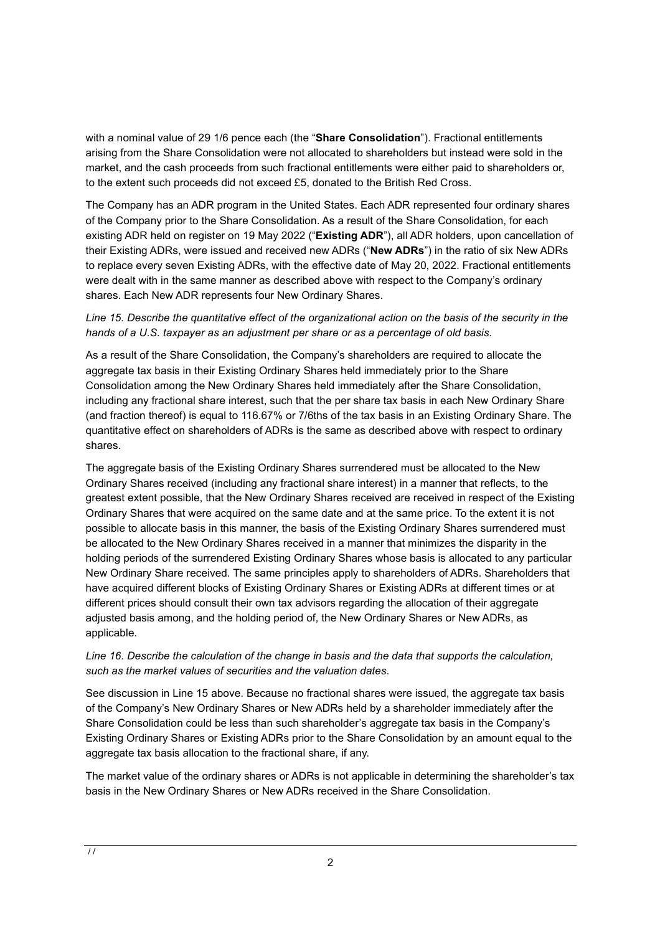with a nominal value of 29 1/6 pence each (the "**Share Consolidation**"). Fractional entitlements arising from the Share Consolidation were not allocated to shareholders but instead were sold in the market, and the cash proceeds from such fractional entitlements were either paid to shareholders or, to the extent such proceeds did not exceed £5, donated to the British Red Cross.

The Company has an ADR program in the United States. Each ADR represented four ordinary shares of the Company prior to the Share Consolidation. As a result of the Share Consolidation, for each existing ADR held on register on 19 May 2022 ("**Existing ADR**"), all ADR holders, upon cancellation of their Existing ADRs, were issued and received new ADRs ("**New ADRs**") in the ratio of six New ADRs to replace every seven Existing ADRs, with the effective date of May 20, 2022. Fractional entitlements were dealt with in the same manner as described above with respect to the Company's ordinary shares. Each New ADR represents four New Ordinary Shares.

# *Line 15. Describe the quantitative effect of the organizational action on the basis of the security in the hands of a U.S. taxpayer as an adjustment per share or as a percentage of old basis*.

As a result of the Share Consolidation, the Company's shareholders are required to allocate the aggregate tax basis in their Existing Ordinary Shares held immediately prior to the Share Consolidation among the New Ordinary Shares held immediately after the Share Consolidation, including any fractional share interest, such that the per share tax basis in each New Ordinary Share (and fraction thereof) is equal to 116.67% or 7/6ths of the tax basis in an Existing Ordinary Share. The quantitative effect on shareholders of ADRs is the same as described above with respect to ordinary shares.

The aggregate basis of the Existing Ordinary Shares surrendered must be allocated to the New Ordinary Shares received (including any fractional share interest) in a manner that reflects, to the greatest extent possible, that the New Ordinary Shares received are received in respect of the Existing Ordinary Shares that were acquired on the same date and at the same price. To the extent it is not possible to allocate basis in this manner, the basis of the Existing Ordinary Shares surrendered must be allocated to the New Ordinary Shares received in a manner that minimizes the disparity in the holding periods of the surrendered Existing Ordinary Shares whose basis is allocated to any particular New Ordinary Share received. The same principles apply to shareholders of ADRs. Shareholders that have acquired different blocks of Existing Ordinary Shares or Existing ADRs at different times or at different prices should consult their own tax advisors regarding the allocation of their aggregate adjusted basis among, and the holding period of, the New Ordinary Shares or New ADRs, as applicable.

## *Line 16. Describe the calculation of the change in basis and the data that supports the calculation, such as the market values of securities and the valuation dates*.

See discussion in Line 15 above. Because no fractional shares were issued, the aggregate tax basis of the Company's New Ordinary Shares or New ADRs held by a shareholder immediately after the Share Consolidation could be less than such shareholder's aggregate tax basis in the Company's Existing Ordinary Shares or Existing ADRs prior to the Share Consolidation by an amount equal to the aggregate tax basis allocation to the fractional share, if any.

The market value of the ordinary shares or ADRs is not applicable in determining the shareholder's tax basis in the New Ordinary Shares or New ADRs received in the Share Consolidation.